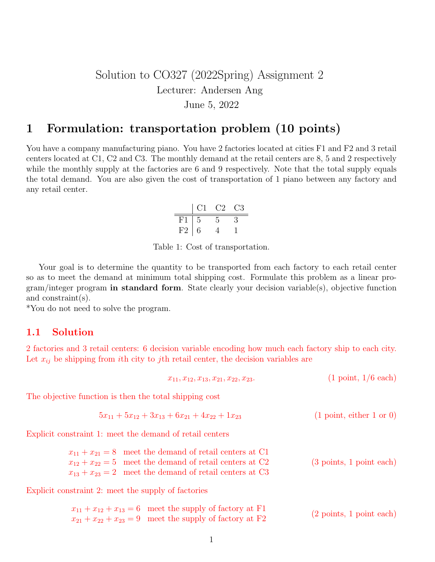## Solution to CO327 (2022Spring) Assignment 2 Lecturer: Andersen Ang June 5, 2022

### 1 Formulation: transportation problem (10 points)

You have a company manufacturing piano. You have 2 factories located at cities F1 and F2 and 3 retail centers located at C1, C2 and C3. The monthly demand at the retail centers are 8, 5 and 2 respectively while the monthly supply at the factories are 6 and 9 respectively. Note that the total supply equals the total demand. You are also given the cost of transportation of 1 piano between any factory and any retail center.

$$
\begin{array}{c|cc}\n & C1 & C2 & C3 \\
\hline\nF1 & 5 & 5 & 3 \\
F2 & 6 & 4 & 1\n\end{array}
$$

Table 1: Cost of transportation.

Your goal is to determine the quantity to be transported from each factory to each retail center so as to meet the demand at minimum total shipping cost. Formulate this problem as a linear pro $gram/integer program$  in standard form. State clearly your decision variable(s), objective function and constraint(s).

\*You do not need to solve the program.

#### 1.1 Solution

2 factories and 3 retail centers: 6 decision variable encoding how much each factory ship to each city. Let  $x_{ij}$  be shipping from *i*th city to *j*th retail center, the decision variables are

$$
x_{11}, x_{12}, x_{13}, x_{21}, x_{22}, x_{23}.\tag{1 point, 1/6 each}
$$

The objective function is then the total shipping cost

$$
5x_{11} + 5x_{12} + 3x_{13} + 6x_{21} + 4x_{22} + 1x_{23}
$$
 (1 point, either 1 or 0)

Explicit constraint 1: meet the demand of retail centers

| $x_{11} + x_{21} = 8$ meet the demand of retail centers at C1 |                                            |
|---------------------------------------------------------------|--------------------------------------------|
| $x_{12} + x_{22} = 5$ meet the demand of retail centers at C2 | $(3 \text{ points}, 1 \text{ point each})$ |
| $x_{13} + x_{23} = 2$ meet the demand of retail centers at C3 |                                            |

Explicit constraint 2: meet the supply of factories

$$
x_{11} + x_{12} + x_{13} = 6
$$
 meet the supply of factory at F1  

$$
x_{21} + x_{22} + x_{23} = 9
$$
 meet the supply of factory at F2 (2 points, 1 point each)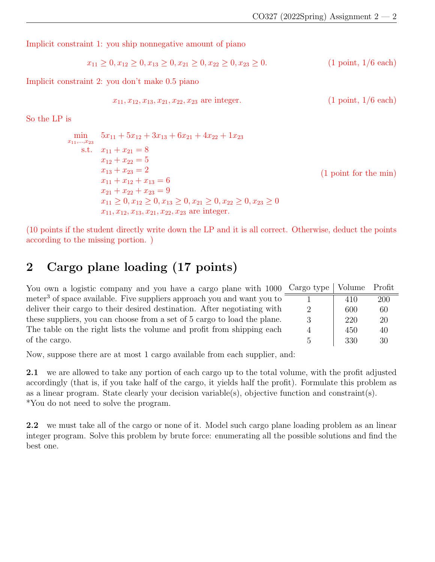Implicit constraint 1: you ship nonnegative amount of piano

$$
x_{11} \ge 0, x_{12} \ge 0, x_{13} \ge 0, x_{21} \ge 0, x_{22} \ge 0, x_{23} \ge 0.
$$
 (1 point, 1/6 each)

Implicit constraint 2: you don't make 0.5 piano

$$
x_{11}, x_{12}, x_{13}, x_{21}, x_{22}, x_{23} \text{ are integer.} \qquad (1 \text{ point}, 1/6 \text{ each})
$$

So the LP is

$$
\min_{x_{11}, \dots, x_{23}} 5x_{11} + 5x_{12} + 3x_{13} + 6x_{21} + 4x_{22} + 1x_{23}
$$
\n  
\n
$$
s.t. \quad x_{11} + x_{21} = 8
$$
\n
$$
x_{12} + x_{22} = 5
$$
\n
$$
x_{13} + x_{23} = 2
$$
\n
$$
x_{11} + x_{12} + x_{13} = 6
$$
\n
$$
x_{21} + x_{22} + x_{23} = 9
$$
\n
$$
x_{11} \ge 0, x_{12} \ge 0, x_{13} \ge 0, x_{21} \ge 0, x_{22} \ge 0, x_{23} \ge 0
$$
\n
$$
x_{11}, x_{12}, x_{13}, x_{21}, x_{22}, x_{23} \text{ are integer.}
$$
\n(1 point for the min)

(10 points if the student directly write down the LP and it is all correct. Otherwise, deduct the points according to the missing portion. )

# 2 Cargo plane loading (17 points)

| You own a logistic company and you have a cargo plane with 1000 Cargo type         |                | Volume Profit |     |
|------------------------------------------------------------------------------------|----------------|---------------|-----|
| meter <sup>3</sup> of space available. Five suppliers approach you and want you to |                | 410           | 200 |
| deliver their cargo to their desired destination. After negotiating with           |                | 600           | 60  |
| these suppliers, you can choose from a set of 5 cargo to load the plane.           |                | 220           | 20  |
| The table on the right lists the volume and profit from shipping each              | $\overline{4}$ | 450           | 40  |
| of the cargo.                                                                      |                | 330           | 30  |

Now, suppose there are at most 1 cargo available from each supplier, and:

2.1 we are allowed to take any portion of each cargo up to the total volume, with the profit adjusted accordingly (that is, if you take half of the cargo, it yields half the profit). Formulate this problem as as a linear program. State clearly your decision variable(s), objective function and constraint(s). \*You do not need to solve the program.

2.2 we must take all of the cargo or none of it. Model such cargo plane loading problem as an linear integer program. Solve this problem by brute force: enumerating all the possible solutions and find the best one.